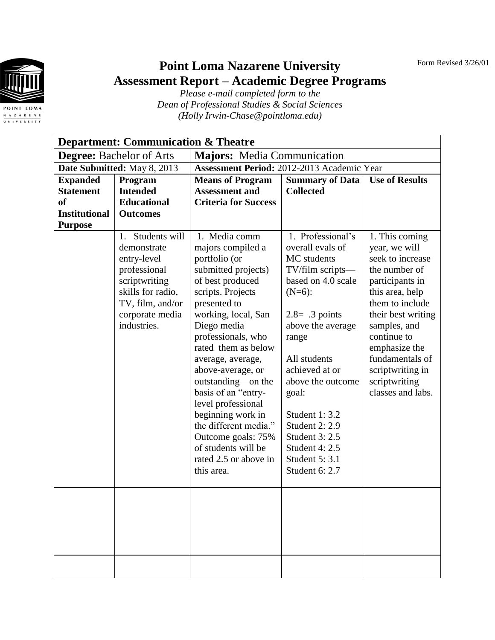Form Revised 3/26/01



## **Point Loma Nazarene University Assessment Report – Academic Degree Programs**

*Please e-mail completed form to the Dean of Professional Studies & Social Sciences (Holly Irwin-Chase@pointloma.edu)*

| <b>Department: Communication &amp; Theatre</b> |                                 |                                            |                        |                       |
|------------------------------------------------|---------------------------------|--------------------------------------------|------------------------|-----------------------|
| <b>Degree:</b> Bachelor of Arts                |                                 | <b>Majors:</b> Media Communication         |                        |                       |
| Date Submitted: May 8, 2013                    |                                 | Assessment Period: 2012-2013 Academic Year |                        |                       |
| <b>Expanded</b>                                | Program                         | <b>Means of Program</b>                    | <b>Summary of Data</b> | <b>Use of Results</b> |
| <b>Statement</b>                               | <b>Intended</b>                 | <b>Assessment and</b>                      | <b>Collected</b>       |                       |
| <sub>of</sub>                                  | <b>Educational</b>              | <b>Criteria for Success</b>                |                        |                       |
| <b>Institutional</b>                           | <b>Outcomes</b>                 |                                            |                        |                       |
| <b>Purpose</b>                                 |                                 |                                            |                        |                       |
|                                                | 1 <sub>1</sub><br>Students will | 1. Media comm                              | 1. Professional's      | 1. This coming        |
|                                                | demonstrate                     | majors compiled a                          | overall evals of       | year, we will         |
|                                                | entry-level                     | portfolio (or                              | MC students            | seek to increase      |
|                                                | professional                    | submitted projects)                        | TV/film scripts-       | the number of         |
|                                                | scriptwriting                   | of best produced                           | based on 4.0 scale     | participants in       |
|                                                | skills for radio,               | scripts. Projects                          | $(N=6)$ :              | this area, help       |
|                                                | TV, film, and/or                | presented to                               |                        | them to include       |
|                                                | corporate media                 | working, local, San                        | $2.8 = .3$ points      | their best writing    |
|                                                | industries.                     | Diego media                                | above the average      | samples, and          |
|                                                |                                 | professionals, who                         | range                  | continue to           |
|                                                |                                 | rated them as below                        |                        | emphasize the         |
|                                                |                                 | average, average,                          | All students           | fundamentals of       |
|                                                |                                 | above-average, or                          | achieved at or         | scriptwriting in      |
|                                                |                                 | outstanding-on the                         | above the outcome      | scriptwriting         |
|                                                |                                 | basis of an "entry-                        | goal:                  | classes and labs.     |
|                                                |                                 | level professional                         |                        |                       |
|                                                |                                 | beginning work in                          | Student 1: 3.2         |                       |
|                                                |                                 | the different media."                      | <b>Student 2: 2.9</b>  |                       |
|                                                |                                 | Outcome goals: 75%                         | Student 3: 2.5         |                       |
|                                                |                                 | of students will be                        | Student 4: 2.5         |                       |
|                                                |                                 | rated 2.5 or above in                      | Student 5: 3.1         |                       |
|                                                |                                 | this area.                                 | Student 6: 2.7         |                       |
|                                                |                                 |                                            |                        |                       |
|                                                |                                 |                                            |                        |                       |
|                                                |                                 |                                            |                        |                       |
|                                                |                                 |                                            |                        |                       |
|                                                |                                 |                                            |                        |                       |
|                                                |                                 |                                            |                        |                       |
|                                                |                                 |                                            |                        |                       |
|                                                |                                 |                                            |                        |                       |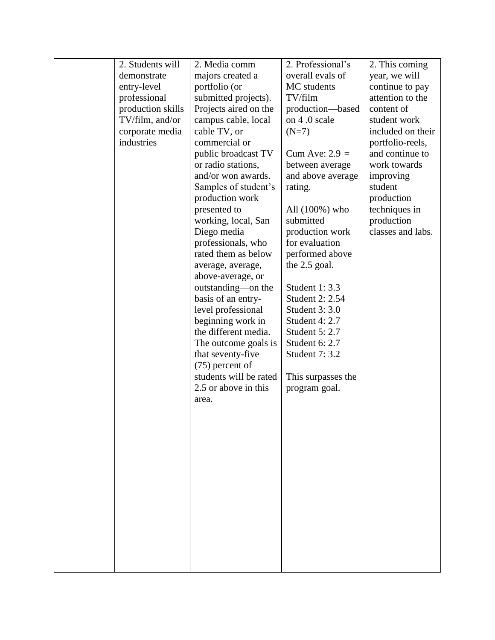| 2. Students will  | 2. Media comm          | 2. Professional's  | 2. This coming    |
|-------------------|------------------------|--------------------|-------------------|
| demonstrate       | majors created a       | overall evals of   | year, we will     |
| entry-level       | portfolio (or          | MC students        | continue to pay   |
| professional      | submitted projects).   | TV/film            | attention to the  |
| production skills | Projects aired on the  | production-based   | content of        |
| TV/film, and/or   | campus cable, local    | on 4.0 scale       | student work      |
| corporate media   | cable TV, or           | $(N=7)$            | included on their |
| industries        | commercial or          |                    | portfolio-reels,  |
|                   | public broadcast TV    | Cum Ave: $2.9 =$   | and continue to   |
|                   | or radio stations,     | between average    | work towards      |
|                   | and/or won awards.     | and above average  | improving         |
|                   | Samples of student's   | rating.            | student           |
|                   | production work        |                    | production        |
|                   | presented to           | All $(100\%)$ who  | techniques in     |
|                   | working, local, San    | submitted          | production        |
|                   | Diego media            | production work    | classes and labs. |
|                   | professionals, who     | for evaluation     |                   |
|                   | rated them as below    | performed above    |                   |
|                   | average, average,      | the 2.5 goal.      |                   |
|                   | above-average, or      |                    |                   |
|                   | outstanding—on the     | Student 1: 3.3     |                   |
|                   | basis of an entry-     | Student 2: 2.54    |                   |
|                   | level professional     | Student 3: 3.0     |                   |
|                   | beginning work in      | Student 4: 2.7     |                   |
|                   | the different media.   | Student 5: 2.7     |                   |
|                   | The outcome goals is   | Student 6: 2.7     |                   |
|                   | that seventy-five      | Student 7: 3.2     |                   |
|                   | $(75)$ percent of      |                    |                   |
|                   | students will be rated | This surpasses the |                   |
|                   | 2.5 or above in this   | program goal.      |                   |
|                   | area.                  |                    |                   |
|                   |                        |                    |                   |
|                   |                        |                    |                   |
|                   |                        |                    |                   |
|                   |                        |                    |                   |
|                   |                        |                    |                   |
|                   |                        |                    |                   |
|                   |                        |                    |                   |
|                   |                        |                    |                   |
|                   |                        |                    |                   |
|                   |                        |                    |                   |
|                   |                        |                    |                   |
|                   |                        |                    |                   |
|                   |                        |                    |                   |
|                   |                        |                    |                   |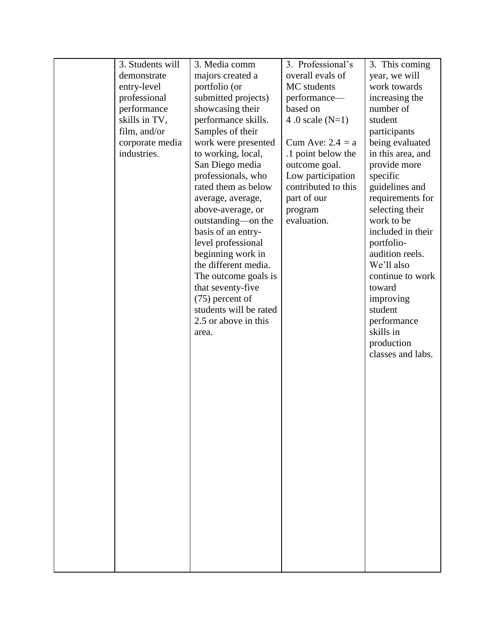| 3. Students will | 3. Media comm          | 3. Professional's   | 3. This coming    |
|------------------|------------------------|---------------------|-------------------|
| demonstrate      | majors created a       | overall evals of    | year, we will     |
| entry-level      | portfolio (or          | MC students         | work towards      |
| professional     | submitted projects)    | performance-        | increasing the    |
| performance      | showcasing their       | based on            | number of         |
| skills in TV,    | performance skills.    | 4.0 scale $(N=1)$   | student           |
| film, and/or     | Samples of their       |                     | participants      |
| corporate media  | work were presented    | Cum Ave: $2.4 = a$  | being evaluated   |
| industries.      | to working, local,     | .1 point below the  | in this area, and |
|                  | San Diego media        | outcome goal.       | provide more      |
|                  | professionals, who     | Low participation   | specific          |
|                  | rated them as below    | contributed to this | guidelines and    |
|                  | average, average,      | part of our         | requirements for  |
|                  | above-average, or      | program             | selecting their   |
|                  | outstanding—on the     | evaluation.         | work to be        |
|                  | basis of an entry-     |                     | included in their |
|                  | level professional     |                     | portfolio-        |
|                  | beginning work in      |                     | audition reels.   |
|                  | the different media.   |                     | We'll also        |
|                  | The outcome goals is   |                     | continue to work  |
|                  | that seventy-five      |                     | toward            |
|                  | $(75)$ percent of      |                     | improving         |
|                  | students will be rated |                     | student           |
|                  | 2.5 or above in this   |                     | performance       |
|                  | area.                  |                     | skills in         |
|                  |                        |                     | production        |
|                  |                        |                     | classes and labs. |
|                  |                        |                     |                   |
|                  |                        |                     |                   |
|                  |                        |                     |                   |
|                  |                        |                     |                   |
|                  |                        |                     |                   |
|                  |                        |                     |                   |
|                  |                        |                     |                   |
|                  |                        |                     |                   |
|                  |                        |                     |                   |
|                  |                        |                     |                   |
|                  |                        |                     |                   |
|                  |                        |                     |                   |
|                  |                        |                     |                   |
|                  |                        |                     |                   |
|                  |                        |                     |                   |
|                  |                        |                     |                   |
|                  |                        |                     |                   |
|                  |                        |                     |                   |
|                  |                        |                     |                   |